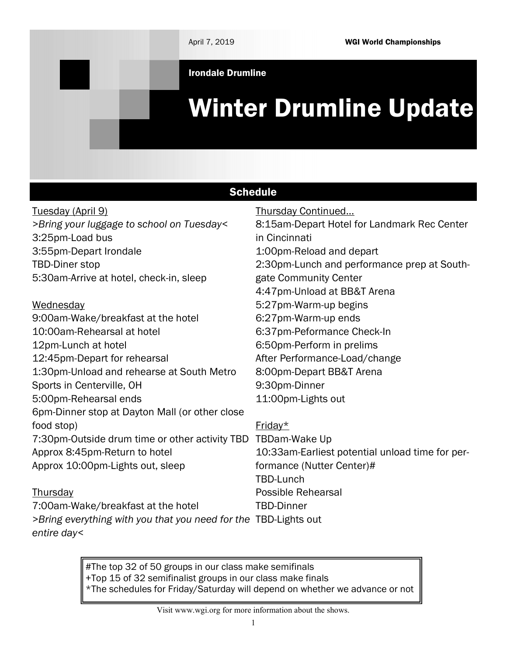April 7, 2019 WGI World Championships

Irondale Drumline

# Winter Drumline Update

| <b>Schedule</b>                                                                |                                                 |  |
|--------------------------------------------------------------------------------|-------------------------------------------------|--|
| Tuesday (April 9)                                                              | Thursday Continued                              |  |
| >Bring your luggage to school on Tuesday<                                      | 8:15am-Depart Hotel for Landmark Rec Center     |  |
| 3:25pm-Load bus                                                                | in Cincinnati                                   |  |
| 3:55pm-Depart Irondale                                                         | 1:00pm-Reload and depart                        |  |
| <b>TBD-Diner stop</b>                                                          | 2:30pm-Lunch and performance prep at South-     |  |
| 5:30am-Arrive at hotel, check-in, sleep                                        | gate Community Center                           |  |
|                                                                                | 4:47pm-Unload at BB&T Arena                     |  |
| Wednesday                                                                      | 5:27pm-Warm-up begins                           |  |
| 9:00am-Wake/breakfast at the hotel                                             | 6:27pm-Warm-up ends                             |  |
| 10:00am-Rehearsal at hotel                                                     | 6:37pm-Peformance Check-In                      |  |
| 12pm-Lunch at hotel                                                            | 6:50pm-Perform in prelims                       |  |
| 12:45pm-Depart for rehearsal                                                   | After Performance-Load/change                   |  |
| 1:30pm-Unload and rehearse at South Metro                                      | 8:00pm-Depart BB&T Arena                        |  |
| Sports in Centerville, OH                                                      | 9:30pm-Dinner                                   |  |
| 5:00pm-Rehearsal ends                                                          | 11:00pm-Lights out                              |  |
| 6pm-Dinner stop at Dayton Mall (or other close                                 |                                                 |  |
| food stop)                                                                     | Friday $*$                                      |  |
| 7:30pm-Outside drum time or other activity TBD                                 | TBDam-Wake Up                                   |  |
| Approx 8:45pm-Return to hotel                                                  | 10:33am-Earliest potential unload time for per- |  |
| Approx 10:00pm-Lights out, sleep                                               | formance (Nutter Center)#                       |  |
|                                                                                | <b>TBD-Lunch</b>                                |  |
| Thursday                                                                       | <b>Possible Rehearsal</b>                       |  |
| 7:00am-Wake/breakfast at the hotel                                             | <b>TBD-Dinner</b>                               |  |
| >Bring everything with you that you need for the TBD-Lights out<br>entire day< |                                                 |  |

#The top 32 of 50 groups in our class make semifinals +Top 15 of 32 semifinalist groups in our class make finals \*The schedules for Friday/Saturday will depend on whether we advance or not

Visit www.wgi.org for more information about the shows.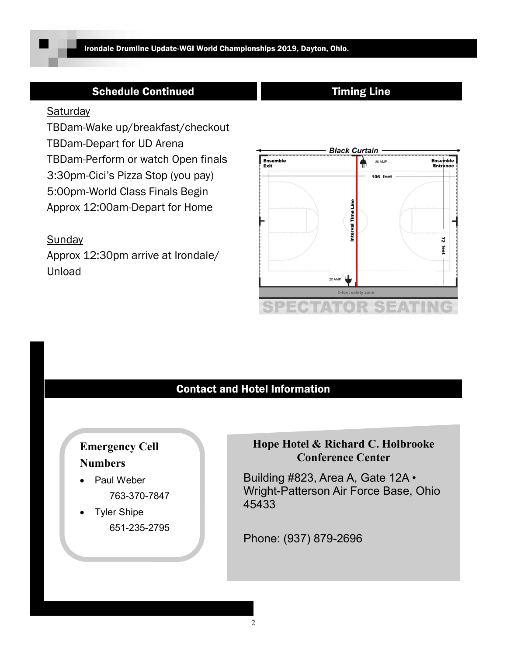# Schedule Continued Timing Line

#### **Saturday**

TBDam-Wake up/breakfast/checkout TBDam-Depart for UD Arena TBDam-Perform or watch Open finals 3:30pm-Cici's Pizza Stop (you pay) 5:00pm-World Class Finals Begin Approx 12:00am-Depart for Home

## **Sunday**

Approx 12:30pm arrive at Irondale/ Unload



# Contact and Hotel Information

# Emergency Cell Numbers

- Paul Weber 763-370-7847
- Tyler Shipe 651-235-2795

# Hope Hotel & Richard C. Holbrooke Conference Center

Building #823, Area A, Gate 12A • Wright-Patterson Air Force Base, Ohio 45433

Phone: (937) 879-2696